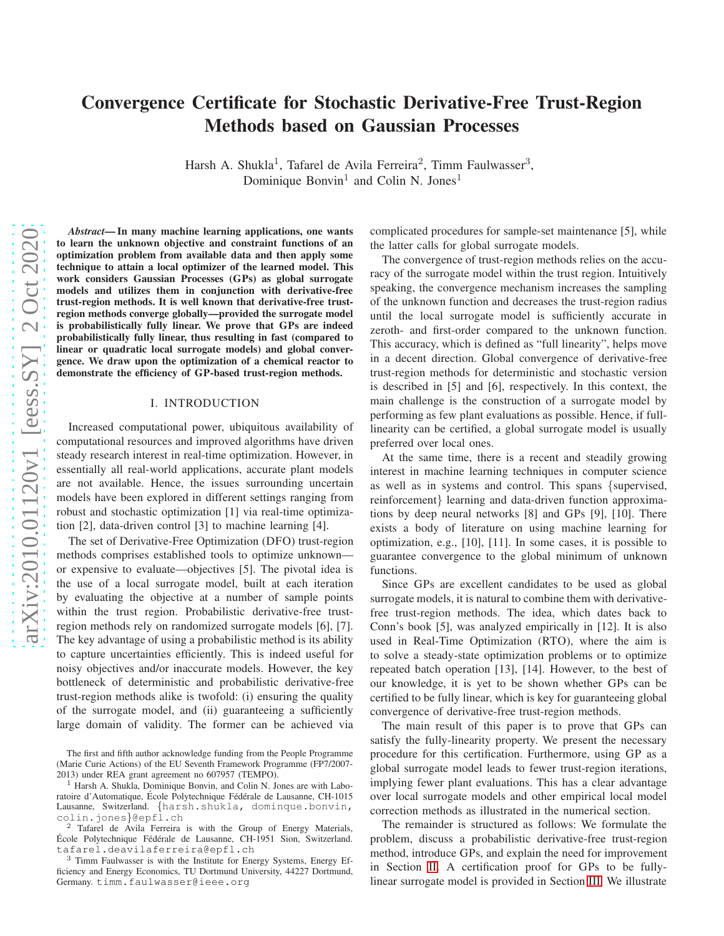# Convergence Certificate for Stochastic Derivative-Free Trust-Region Methods based on Gaussian Processes

Harsh A. Shukla<sup>1</sup>, Tafarel de Avila Ferreira<sup>2</sup>, Timm Faulwasser<sup>3</sup>, Dominique Bonvin<sup>1</sup> and Colin N. Jones<sup>1</sup>

*Abstract*— In many machine learning applications, one wants to learn the unknown objective and constraint functions of an optimization problem from available data and then apply some technique to attain a local optimizer of the learned model. This work considers Gaussian Processes (GPs) as global surrogate models and utilizes them in conjunction with derivative-free trust-region methods. It is well known that derivative-free trustregion methods converge globally—provided the surrogate model is probabilistically fully linear. We prove that GPs are indeed probabilistically fully linear, thus resulting in fast (compared to linear or quadratic local surrogate models) and global convergence. We draw upon the optimization of a chemical reactor to demonstrate the efficiency of GP-based trust-region methods.

# I. INTRODUCTION

Increased computational power, ubiquitous availability of computational resources and improved algorithms have driven steady research interest in real-time optimization. However, in essentially all real-world applications, accurate plant models are not available. Hence, the issues surrounding uncertain models have been explored in different settings ranging from robust and stochastic optimization [1] via real-time optimization [2], data-driven control [3] to machine learning [4].

The set of Derivative-Free Optimization (DFO) trust-region methods comprises established tools to optimize unknown or expensive to evaluate—objectives [5]. The pivotal idea is the use of a local surrogate model, built at each iteration by evaluating the objective at a number of sample points within the trust region. Probabilistic derivative-free trustregion methods rely on randomized surrogate models [6], [7]. The key advantage of using a probabilistic method is its ability to capture uncertainties efficiently. This is indeed useful for noisy objectives and/or inaccurate models. However, the key bottleneck of deterministic and probabilistic derivative-free trust-region methods alike is twofold: (i) ensuring the quality of the surrogate model, and (ii) guaranteeing a sufficiently large domain of validity. The former can be achieved via complicated procedures for sample-set maintenance [5], while the latter calls for global surrogate models.

The convergence of trust-region methods relies on the accuracy of the surrogate model within the trust region. Intuitively speaking, the convergence mechanism increases the sampling of the unknown function and decreases the trust-region radius until the local surrogate model is sufficiently accurate in zeroth- and first-order compared to the unknown function. This accuracy, which is defined as "full linearity", helps move in a decent direction. Global convergence of derivative-free trust-region methods for deterministic and stochastic version is described in [5] and [6], respectively. In this context, the main challenge is the construction of a surrogate model by performing as few plant evaluations as possible. Hence, if fulllinearity can be certified, a global surrogate model is usually preferred over local ones.

At the same time, there is a recent and steadily growing interest in machine learning techniques in computer science as well as in systems and control. This spans {supervised, reinforcement} learning and data-driven function approximations by deep neural networks [8] and GPs [9], [10]. There exists a body of literature on using machine learning for optimization, e.g., [10], [11]. In some cases, it is possible to guarantee convergence to the global minimum of unknown functions.

Since GPs are excellent candidates to be used as global surrogate models, it is natural to combine them with derivativefree trust-region methods. The idea, which dates back to Conn's book [5], was analyzed empirically in [12]. It is also used in Real-Time Optimization (RTO), where the aim is to solve a steady-state optimization problems or to optimize repeated batch operation [13], [14]. However, to the best of our knowledge, it is yet to be shown whether GPs can be certified to be fully linear, which is key for guaranteeing global convergence of derivative-free trust-region methods.

The main result of this paper is to prove that GPs can satisfy the fully-linearity property. We present the necessary procedure for this certification. Furthermore, using GP as a global surrogate model leads to fewer trust-region iterations, implying fewer plant evaluations. This has a clear advantage over local surrogate models and other empirical local model correction methods as illustrated in the numerical section.

The remainder is structured as follows: We formulate the problem, discuss a probabilistic derivative-free trust-region method, introduce GPs, and explain the need for improvement in Section [II.](#page-1-0) A certification proof for GPs to be fullylinear surrogate model is provided in Section [III.](#page-3-0) We illustrate

The first and fifth author acknowledge funding from the People Programme (Marie Curie Actions) of the EU Seventh Framework Programme (FP7/2007- 2013) under REA grant agreement no 607957 (TEMPO).

 $1$  Harsh A. Shukla, Dominique Bonvin, and Colin N. Jones are with Laboratoire d'Automatique, École Polytechnique Fédérale de Lausanne, CH-1015 Lausanne, Switzerland. {harsh.shukla, dominque.bonvin, colin.jones}@epfl.ch

<sup>2</sup> Tafarel de Avila Ferreira is with the Group of Energy Materials, École Polytechnique Fédérale de Lausanne, CH-1951 Sion, Switzerland. tafarel.deavilaferreira@epfl.ch

<sup>3</sup> Timm Faulwasser is with the Institute for Energy Systems, Energy Efficiency and Energy Economics, TU Dortmund University, 44227 Dortmund, Germany. timm.faulwasser@ieee.org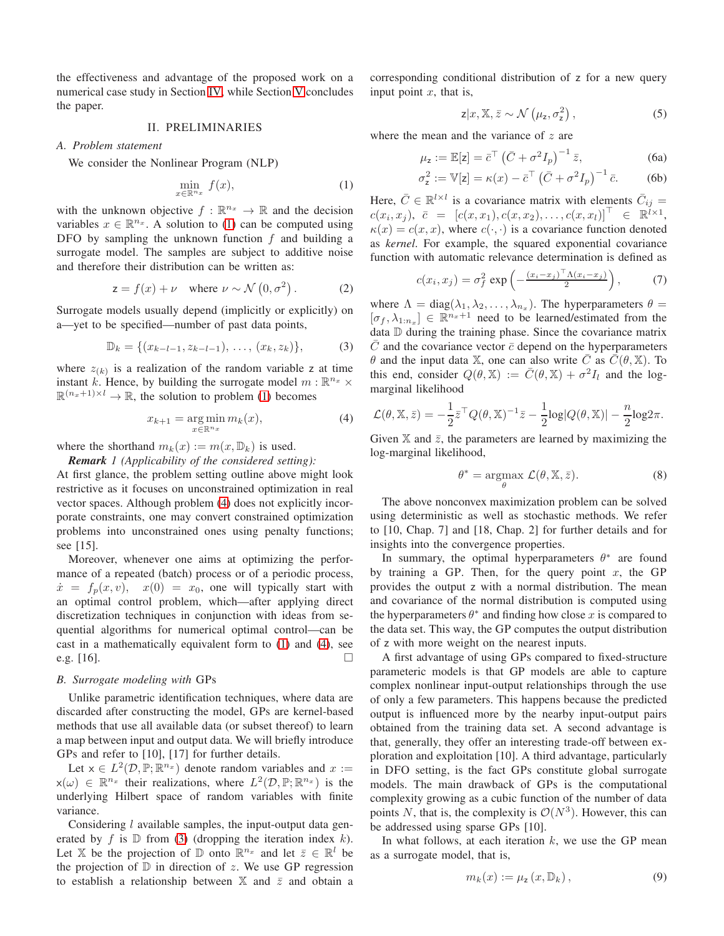the effectiveness and advantage of the proposed work on a numerical case study in Section [IV,](#page-4-0) while Section [V](#page-4-1) concludes the paper.

#### II. PRELIMINARIES

#### <span id="page-1-0"></span>*A. Problem statement*

We consider the Nonlinear Program (NLP)

<span id="page-1-1"></span>
$$
\min_{x \in \mathbb{R}^{n_x}} f(x),\tag{1}
$$

with the unknown objective  $f : \mathbb{R}^{n_x} \to \mathbb{R}$  and the decision variables  $x \in \mathbb{R}^{n_x}$ . A solution to [\(1\)](#page-1-1) can be computed using DFO by sampling the unknown function  $f$  and building a surrogate model. The samples are subject to additive noise and therefore their distribution can be written as:

<span id="page-1-5"></span>
$$
z = f(x) + \nu \quad \text{where } \nu \sim \mathcal{N}\left(0, \sigma^2\right). \tag{2}
$$

Surrogate models usually depend (implicitly or explicitly) on a—yet to be specified—number of past data points,

<span id="page-1-3"></span>
$$
\mathbb{D}_k = \{ (x_{k-l-1}, z_{k-l-1}), \dots, (x_k, z_k) \},\tag{3}
$$

where  $z_{(k)}$  is a realization of the random variable z at time instant k. Hence, by building the surrogate model  $m : \mathbb{R}^{n_x} \times$  $\mathbb{R}^{(n_x+1)\times l} \to \mathbb{R}$ , the solution to problem [\(1\)](#page-1-1) becomes

<span id="page-1-2"></span>
$$
x_{k+1} = \underset{x \in \mathbb{R}^{n_x}}{\arg \min m_k(x)},\tag{4}
$$

where the shorthand  $m_k(x) := m(x, \mathbb{D}_k)$  is used.

*Remark 1 (Applicability of the considered setting):*

At first glance, the problem setting outline above might look restrictive as it focuses on unconstrained optimization in real vector spaces. Although problem [\(4\)](#page-1-2) does not explicitly incorporate constraints, one may convert constrained optimization problems into unconstrained ones using penalty functions; see [15].

Moreover, whenever one aims at optimizing the performance of a repeated (batch) process or of a periodic process,  $\dot{x} = f_p(x, v), x(0) = x_0$ , one will typically start with an optimal control problem, which—after applying direct discretization techniques in conjunction with ideas from sequential algorithms for numerical optimal control—can be cast in a mathematically equivalent form to [\(1\)](#page-1-1) and [\(4\)](#page-1-2), see e.g. [16].

#### *B. Surrogate modeling with* GPs

Unlike parametric identification techniques, where data are discarded after constructing the model, GPs are kernel-based methods that use all available data (or subset thereof) to learn a map between input and output data. We will briefly introduce GPs and refer to [10], [17] for further details.

Let  $x \in L^2(D, \mathbb{P}; \mathbb{R}^{n_x})$  denote random variables and  $x :=$  $x(\omega) \in \mathbb{R}^{n_x}$  their realizations, where  $L^2(\mathcal{D}, \mathbb{P}; \mathbb{R}^{n_x})$  is the underlying Hilbert space of random variables with finite variance.

Considering *l* available samples, the input-output data generated by f is  $D$  from [\(3\)](#page-1-3) (dropping the iteration index k). Let X be the projection of  $\mathbb{D}$  onto  $\mathbb{R}^{n_x}$  and let  $\bar{z} \in \mathbb{R}^l$  be the projection of  $D$  in direction of z. We use GP regression to establish a relationship between  $X$  and  $\overline{z}$  and obtain a

corresponding conditional distribution of z for a new query input point  $x$ , that is,

<span id="page-1-4"></span>
$$
z|x, \mathbb{X}, \bar{z} \sim \mathcal{N}\left(\mu_z, \sigma_z^2\right),\tag{5}
$$

where the mean and the variance of  $z$  are

$$
\mu_{z} := \mathbb{E}[z] = \bar{c}^{\top} \left( \bar{C} + \sigma^{2} I_{p} \right)^{-1} \bar{z}, \tag{6a}
$$

$$
\sigma_z^2 := \mathbb{V}[z] = \kappa(x) - \bar{c}^\top \left(\bar{C} + \sigma^2 I_p\right)^{-1} \bar{c}.\tag{6b}
$$

Here,  $\bar{C} \in \mathbb{R}^{l \times l}$  is a covariance matrix with elements  $\bar{C}_{ij} =$  $c(x_i, x_j), \ \bar{c} \ = \ [c(x,x_1), c(x,x_2), \ldots, c(x,x_l)]^\top \ \ \in \ \mathbb{R}^{\bar{l} \times 1},$  $\kappa(x) = c(x, x)$ , where  $c(\cdot, \cdot)$  is a covariance function denoted as *kernel*. For example, the squared exponential covariance function with automatic relevance determination is defined as

$$
c(x_i, x_j) = \sigma_f^2 \exp\left(-\frac{(x_i - x_j)^\top \Lambda (x_i - x_j)}{2}\right),\tag{7}
$$

where  $\Lambda = \text{diag}(\lambda_1, \lambda_2, \dots, \lambda_{n_x})$ . The hyperparameters  $\theta =$  $[\sigma_f, \lambda_{1:n_x}] \in \mathbb{R}^{n_x+1}$  need to be learned/estimated from the data D during the training phase. Since the covariance matrix  $\overline{C}$  and the covariance vector  $\overline{c}$  depend on the hyperparameters  $\theta$  and the input data X, one can also write  $\overline{C}$  as  $\overline{C}(\theta, X)$ . To this end, consider  $Q(\theta, \mathbb{X}) := \overline{C}(\theta, \mathbb{X}) + \sigma^2 I_l$  and the logmarginal likelihood

$$
\mathcal{L}(\theta, \mathbb{X}, \bar{z}) = -\frac{1}{2}\bar{z}^\top Q(\theta, \mathbb{X})^{-1}\bar{z} - \frac{1}{2}\log|Q(\theta, \mathbb{X})| - \frac{n}{2}\log 2\pi.
$$

Given  $X$  and  $\overline{z}$ , the parameters are learned by maximizing the log-marginal likelihood,

$$
\theta^* = \underset{\theta}{\operatorname{argmax}} \ \mathcal{L}(\theta, \mathbb{X}, \bar{z}). \tag{8}
$$

The above nonconvex maximization problem can be solved using deterministic as well as stochastic methods. We refer to [10, Chap. 7] and [18, Chap. 2] for further details and for insights into the convergence properties.

In summary, the optimal hyperparameters  $\theta^*$  are found by training a GP. Then, for the query point  $x$ , the GP provides the output z with a normal distribution. The mean and covariance of the normal distribution is computed using the hyperparameters  $\theta^*$  and finding how close x is compared to the data set. This way, the GP computes the output distribution of z with more weight on the nearest inputs.

A first advantage of using GPs compared to fixed-structure parameteric models is that GP models are able to capture complex nonlinear input-output relationships through the use of only a few parameters. This happens because the predicted output is influenced more by the nearby input-output pairs obtained from the training data set. A second advantage is that, generally, they offer an interesting trade-off between exploration and exploitation [10]. A third advantage, particularly in DFO setting, is the fact GPs constitute global surrogate models. The main drawback of GPs is the computational complexity growing as a cubic function of the number of data points N, that is, the complexity is  $\mathcal{O}(N^3)$ . However, this can be addressed using sparse GPs [10].

In what follows, at each iteration  $k$ , we use the GP mean as a surrogate model, that is,

$$
m_k(x) := \mu_\mathbf{z}\left(x, \mathbb{D}_k\right),\tag{9}
$$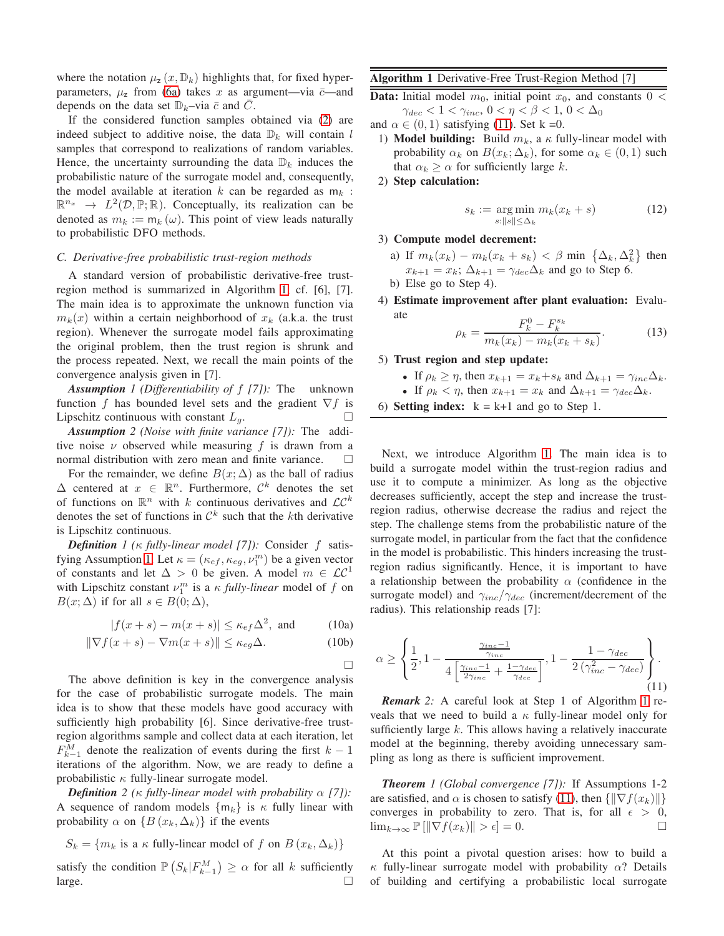where the notation  $\mu_z(x, \mathbb{D}_k)$  highlights that, for fixed hyperparameters,  $\mu_z$  from [\(6a\)](#page-1-4) takes x as argument—via  $\bar{c}$ —and depends on the data set  $\mathbb{D}_k$ –via  $\bar{c}$  and  $\bar{C}$ .

If the considered function samples obtained via [\(2\)](#page-1-5) are indeed subject to additive noise, the data  $\mathbb{D}_k$  will contain l samples that correspond to realizations of random variables. Hence, the uncertainty surrounding the data  $\mathbb{D}_k$  induces the probabilistic nature of the surrogate model and, consequently, the model available at iteration  $k$  can be regarded as  $m_k$ :  $\mathbb{R}^{n_x} \rightarrow L^2(\mathcal{D}, \mathbb{P}; \mathbb{R})$ . Conceptually, its realization can be denoted as  $m_k := m_k(\omega)$ . This point of view leads naturally to probabilistic DFO methods.

#### *C. Derivative-free probabilistic trust-region methods*

A standard version of probabilistic derivative-free trustregion method is summarized in Algorithm [1,](#page-2-0) cf. [6], [7]. The main idea is to approximate the unknown function via  $m_k(x)$  within a certain neighborhood of  $x_k$  (a.k.a. the trust region). Whenever the surrogate model fails approximating the original problem, then the trust region is shrunk and the process repeated. Next, we recall the main points of the convergence analysis given in [7].

<span id="page-2-1"></span>*Assumption 1 (Differentiability of* f *[7]):* The unknown function f has bounded level sets and the gradient  $\nabla f$  is Lipschitz continuous with constant  $L_a$ .

*Assumption 2 (Noise with finite variance [7]):* The additive noise  $\nu$  observed while measuring f is drawn from a normal distribution with zero mean and finite variance.

For the remainder, we define  $B(x; \Delta)$  as the ball of radius  $\Delta$  centered at  $x \in \mathbb{R}^n$ . Furthermore,  $\mathcal{C}^k$  denotes the set of functions on  $\mathbb{R}^n$  with k continuous derivatives and  $\mathcal{LC}^k$ denotes the set of functions in  $\mathcal{C}^k$  such that the kth derivative is Lipschitz continuous.

*Definition 1 (*κ *fully-linear model [7]):* Consider f satis-fying Assumption [1.](#page-2-1) Let  $\kappa = (\kappa_{ef}, \kappa_{eg}, \nu_1^m)$  be a given vector of constants and let  $\Delta > 0$  be given. A model  $m \in \mathcal{LC}^1$ with Lipschitz constant  $\nu_1^m$  is a  $\kappa$  *fully-linear* model of f on  $B(x; \Delta)$  if for all  $s \in B(0; \Delta)$ ,

$$
|f(x+s) - m(x+s)| \le \kappa_{ef} \Delta^2, \text{ and } (10a)
$$

$$
\|\nabla f(x+s) - \nabla m(x+s)\| \le \kappa_{eg} \Delta. \tag{10b}
$$

<span id="page-2-4"></span><span id="page-2-3"></span> $\Box$ 

The above definition is key in the convergence analysis for the case of probabilistic surrogate models. The main idea is to show that these models have good accuracy with sufficiently high probability [6]. Since derivative-free trustregion algorithms sample and collect data at each iteration, let  $F_{k-1}^M$  denote the realization of events during the first  $k-1$ iterations of the algorithm. Now, we are ready to define a probabilistic  $\kappa$  fully-linear surrogate model.

*Definition* 2 ( $\kappa$  *fully-linear model with probability*  $\alpha$  [7]): A sequence of random models  $\{m_k\}$  is  $\kappa$  fully linear with probability  $\alpha$  on  $\{B(x_k, \Delta_k)\}\$ if the events

$$
S_k = \{m_k \text{ is a } \kappa \text{ fully-linear model of } f \text{ on } B(x_k, \Delta_k)\}
$$

satisfy the condition  $\mathbb{P}\left(S_k|F_{k-1}^M\right) \geq \alpha$  for all k sufficiently large.  $\Box$ 

# <span id="page-2-0"></span>Algorithm 1 Derivative-Free Trust-Region Method [7]

**Data:** Initial model  $m_0$ , initial point  $x_0$ , and constants  $0 <$  $\gamma_{dec} < 1 < \gamma_{inc}, 0 < \eta < \beta < 1, 0 < \Delta_0$ 

- and  $\alpha \in (0, 1)$  satisfying [\(11\)](#page-2-2). Set k =0.
- 1) **Model building:** Build  $m_k$ , a  $\kappa$  fully-linear model with probability  $\alpha_k$  on  $B(x_k; \Delta_k)$ , for some  $\alpha_k \in (0, 1)$  such that  $\alpha_k \geq \alpha$  for sufficiently large k.
- 2) Step calculation:

$$
s_k := \underset{s: \|s\| \le \Delta_k}{\arg \min} m_k(x_k + s) \tag{12}
$$

#### 3) Compute model decrement:

- a) If  $m_k(x_k) m_k(x_k + s_k) < \beta$  min  $\{\Delta_k, \Delta_k^2\}$  then  $x_{k+1} = x_k$ ;  $\Delta_{k+1} = \gamma_{dec} \Delta_k$  and go to Step 6. b) Else go to Step 4).
- 4) Estimate improvement after plant evaluation: Evaluate

$$
\rho_k = \frac{F_k^0 - F_k^{s_k}}{m_k(x_k) - m_k(x_k + s_k)}.\tag{13}
$$

## 5) Trust region and step update:

- If  $\rho_k \geq \eta$ , then  $x_{k+1} = x_k + s_k$  and  $\Delta_{k+1} = \gamma_{inc} \Delta_k$ .
- If  $\rho_k < \eta$ , then  $x_{k+1} = x_k$  and  $\Delta_{k+1} = \gamma_{dec} \Delta_k$ .

6) Setting index: 
$$
k = k+1
$$
 and go to Step 1.

Next, we introduce Algorithm [1.](#page-2-0) The main idea is to build a surrogate model within the trust-region radius and use it to compute a minimizer. As long as the objective decreases sufficiently, accept the step and increase the trustregion radius, otherwise decrease the radius and reject the step. The challenge stems from the probabilistic nature of the surrogate model, in particular from the fact that the confidence in the model is probabilistic. This hinders increasing the trustregion radius significantly. Hence, it is important to have a relationship between the probability  $\alpha$  (confidence in the surrogate model) and  $\gamma_{inc}/\gamma_{dec}$  (increment/decrement of the radius). This relationship reads [7]:

<span id="page-2-2"></span>
$$
\alpha \ge \left\{ \frac{1}{2}, 1 - \frac{\frac{\gamma_{inc}-1}{\gamma_{inc}}}{4\left[\frac{\gamma_{inc}-1}{2\gamma_{inc}} + \frac{1-\gamma_{dec}}{\gamma_{dec}}\right]}, 1 - \frac{1-\gamma_{dec}}{2\left(\gamma_{inc}^2 - \gamma_{dec}\right)} \right\}.
$$
\n(11)

*Remark 2:* A careful look at Step 1 of Algorithm [1](#page-2-0) reveals that we need to build a  $\kappa$  fully-linear model only for sufficiently large k. This allows having a relatively inaccurate model at the beginning, thereby avoiding unnecessary sampling as long as there is sufficient improvement.

<span id="page-2-5"></span>*Theorem 1 (Global convergence [7]):* If Assumptions 1-2 are satisfied, and  $\alpha$  is chosen to satisfy [\(11\)](#page-2-2), then  $\{\|\nabla f(x_k)\|\}$ converges in probability to zero. That is, for all  $\epsilon > 0$ ,  $\lim_{k\to\infty} \mathbb{P} \left[ \|\nabla f(x_k)\| > \epsilon \right] = 0.$ 

At this point a pivotal question arises: how to build a  $\kappa$  fully-linear surrogate model with probability  $\alpha$ ? Details of building and certifying a probabilistic local surrogate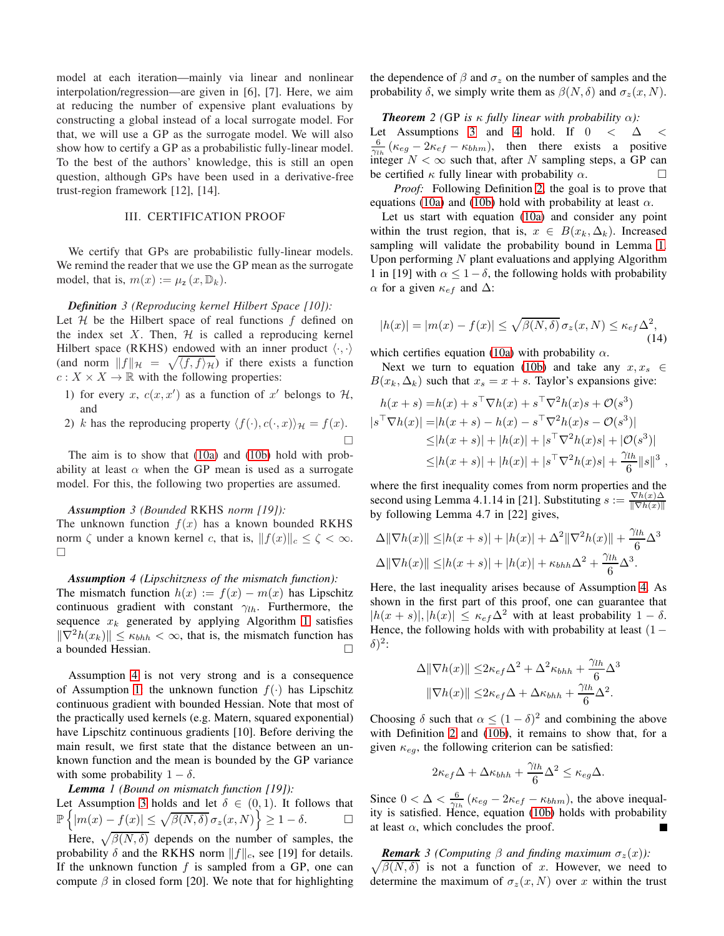model at each iteration—mainly via linear and nonlinear interpolation/regression—are given in [6], [7]. Here, we aim at reducing the number of expensive plant evaluations by constructing a global instead of a local surrogate model. For that, we will use a GP as the surrogate model. We will also show how to certify a GP as a probabilistic fully-linear model. To the best of the authors' knowledge, this is still an open question, although GPs have been used in a derivative-free trust-region framework [12], [14].

## III. CERTIFICATION PROOF

<span id="page-3-0"></span>We certify that GPs are probabilistic fully-linear models. We remind the reader that we use the GP mean as the surrogate model, that is,  $m(x) := \mu_z(x, \mathbb{D}_k)$ .

## *Definition 3 (Reproducing kernel Hilbert Space [10]):*

Let  $H$  be the Hilbert space of real functions  $f$  defined on the index set  $X$ . Then,  $H$  is called a reproducing kernel Hilbert space (RKHS) endowed with an inner product  $\langle \cdot, \cdot \rangle$ (and norm  $||f||_{\mathcal{H}} = \sqrt{\langle f, f \rangle_{\mathcal{H}}}$ ) if there exists a function  $c: X \times X \to \mathbb{R}$  with the following properties:

- 1) for every x,  $c(x, x')$  as a function of x' belongs to H, and
- 2) k has the reproducing property  $\langle f(\cdot), c(\cdot, x)\rangle_{\mathcal{H}} = f(x)$ .  $\Box$

The aim is to show that [\(10a\)](#page-2-3) and [\(10b\)](#page-2-4) hold with probability at least  $\alpha$  when the GP mean is used as a surrogate model. For this, the following two properties are assumed.

## *Assumption 3 (Bounded* RKHS *norm [19]):*

The unknown function  $f(x)$  has a known bounded RKHS norm  $\zeta$  under a known kernel c, that is,  $||f(x)||_c \leq \zeta < \infty$ .  $\Box$ 

# <span id="page-3-1"></span>*Assumption 4 (Lipschitzness of the mismatch function):*

The mismatch function  $h(x) := f(x) - m(x)$  has Lipschitz continuous gradient with constant  $\gamma_{lh}$ . Furthermore, the sequence  $x_k$  generated by applying Algorithm [1](#page-2-0) satisfies  $\|\nabla^2 h(x_k)\| \leq \kappa_{hhh} < \infty$ , that is, the mismatch function has a bounded Hessian.

Assumption [4](#page-3-1) is not very strong and is a consequence of Assumption [1:](#page-2-1) the unknown function  $f(\cdot)$  has Lipschitz continuous gradient with bounded Hessian. Note that most of the practically used kernels (e.g. Matern, squared exponential) have Lipschitz continuous gradients [10]. Before deriving the main result, we first state that the distance between an unknown function and the mean is bounded by the GP variance with some probability  $1 - \delta$ .

# <span id="page-3-3"></span>*Lemma 1 (Bound on mismatch function [19]):*

Let Assumption [3](#page-3-2) holds and let  $\delta \in (0,1)$ . It follows that  $\mathbb{P}\left\{|m(x)-f(x)|\leq \sqrt{\beta(N,\delta)}\,\sigma_z(x,N)\right\}\geq 1-\delta.$ 

Here,  $\sqrt{\beta(N,\delta)}$  depends on the number of samples, the probability  $\delta$  and the RKHS norm  $||f||_c$ , see [19] for details. If the unknown function  $f$  is sampled from a GP, one can compute  $\beta$  in closed form [20]. We note that for highlighting the dependence of  $\beta$  and  $\sigma_z$  on the number of samples and the probability  $\delta$ , we simply write them as  $\beta(N, \delta)$  and  $\sigma_z(x, N)$ .

#### <span id="page-3-4"></span>*Theorem* 2 (GP is  $\kappa$  *fully linear with probability*  $\alpha$ *):*

Let Assumptions [3](#page-3-2) and [4](#page-3-1) hold. If  $0 < \Delta <$  $\frac{6}{\gamma_{lh}}(\kappa_{eg}-2\kappa_{ef}-\kappa_{bhm}),$  then there exists a positive integer  $N < \infty$  such that, after N sampling steps, a GP can be certified  $\kappa$  fully linear with probability  $\alpha$ .

*Proof:* Following Definition [2,](#page-2-5) the goal is to prove that equations [\(10a\)](#page-2-3) and [\(10b\)](#page-2-4) hold with probability at least  $\alpha$ .

Let us start with equation [\(10a\)](#page-2-3) and consider any point within the trust region, that is,  $x \in B(x_k, \Delta_k)$ . Increased sampling will validate the probability bound in Lemma [1.](#page-3-3) Upon performing  $N$  plant evaluations and applying Algorithm 1 in [19] with  $\alpha \leq 1-\delta$ , the following holds with probability  $\alpha$  for a given  $\kappa_{ef}$  and  $\Delta$ :

$$
|h(x)| = |m(x) - f(x)| \le \sqrt{\beta(N,\delta)} \sigma_z(x,N) \le \kappa_{ef} \Delta^2,
$$
\n(14)

which certifies equation [\(10a\)](#page-2-3) with probability  $\alpha$ .

Next we turn to equation [\(10b\)](#page-2-4) and take any  $x, x_s \in$  $B(x_k, \Delta_k)$  such that  $x_s = x + s$ . Taylor's expansions give:

$$
h(x+s) = h(x) + s^{\top} \nabla h(x) + s^{\top} \nabla^2 h(x) s + \mathcal{O}(s^3)
$$
  
\n
$$
|s^{\top} \nabla h(x)| = |h(x+s) - h(x) - s^{\top} \nabla^2 h(x) s - \mathcal{O}(s^3)|
$$
  
\n
$$
\leq |h(x+s)| + |h(x)| + |s^{\top} \nabla^2 h(x) s| + |\mathcal{O}(s^3)|
$$
  
\n
$$
\leq |h(x+s)| + |h(x)| + |s^{\top} \nabla^2 h(x) s| + \frac{\gamma_{lh}}{6} ||s||^3,
$$

<span id="page-3-2"></span>where the first inequality comes from norm properties and the second using Lemma 4.1.14 in [21]. Substituting  $s := \frac{\nabla h(x) \Delta}{\|\nabla h(x)\|}$  $\|\nabla h(x)\|$ by following Lemma 4.7 in [22] gives,

$$
\Delta \|\nabla h(x)\| \le |h(x+s)| + |h(x)| + \Delta^2 \|\nabla^2 h(x)\| + \frac{\gamma_{lh}}{6} \Delta^3
$$
  

$$
\Delta \|\nabla h(x)\| \le |h(x+s)| + |h(x)| + \kappa_{bhh} \Delta^2 + \frac{\gamma_{lh}}{6} \Delta^3.
$$

Here, the last inequality arises because of Assumption [4.](#page-3-1) As shown in the first part of this proof, one can guarantee that  $|h(x + s)|, |h(x)| \leq \kappa_{\text{ef}} \Delta^2$  with at least probability  $1 - \delta$ . Hence, the following holds with with probability at least  $(1 \delta)^2$ :

$$
\Delta \|\nabla h(x)\| \leq 2\kappa_{ef}\Delta^2 + \Delta^2 \kappa_{hhh} + \frac{\gamma_{lh}}{6}\Delta^3
$$
  

$$
\|\nabla h(x)\| \leq 2\kappa_{ef}\Delta + \Delta \kappa_{hhh} + \frac{\gamma_{lh}}{6}\Delta^2.
$$

Choosing  $\delta$  such that  $\alpha \leq (1 - \delta)^2$  and combining the above with Definition [2](#page-2-5) and [\(10b\)](#page-2-4), it remains to show that, for a given  $\kappa_{eq}$ , the following criterion can be satisfied:

$$
2\kappa_{ef}\Delta + \Delta \kappa_{hhh} + \frac{\gamma_{lh}}{6}\Delta^2 \leq \kappa_{eg}\Delta.
$$

Since  $0 < \Delta < \frac{6}{\gamma_{th}} (\kappa_{eg} - 2\kappa_{ef} - \kappa_{bhm})$ , the above inequality is satisfied. Hence, equation [\(10b\)](#page-2-4) holds with probability at least  $\alpha$ , which concludes the proof.

 $\sqrt{\beta(N,\delta)}$  is not a function of x. However, we need to *Remark* 3 (Computing  $\beta$  and finding maximum  $\sigma_z(x)$ ): determine the maximum of  $\sigma_z(x, N)$  over x within the trust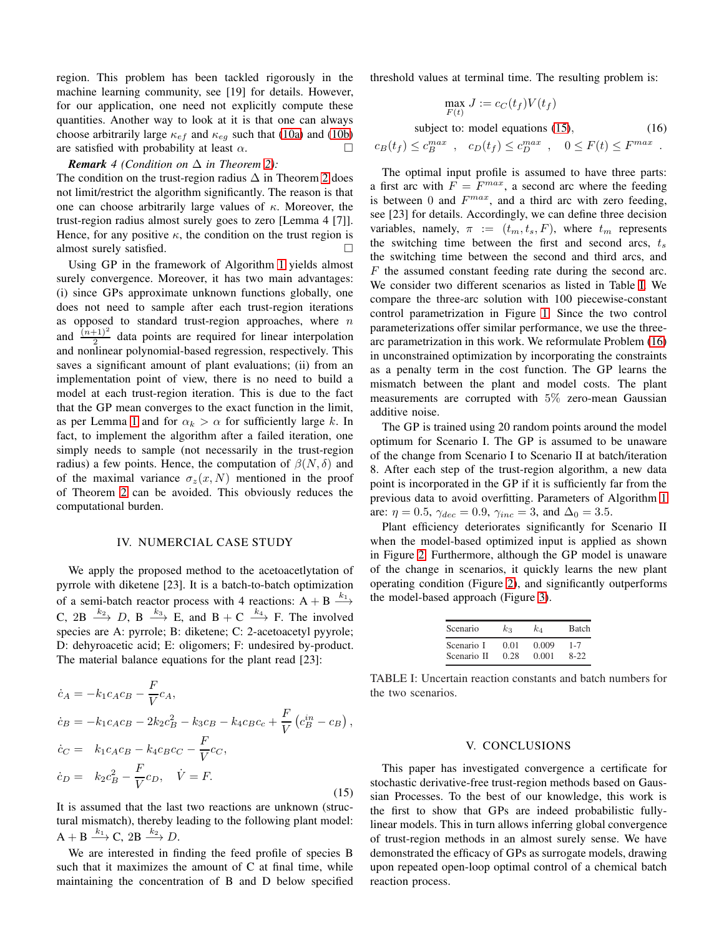region. This problem has been tackled rigorously in the machine learning community, see [19] for details. However, for our application, one need not explicitly compute these quantities. Another way to look at it is that one can always choose arbitrarily large  $\kappa_{ef}$  and  $\kappa_{eg}$  such that [\(10a\)](#page-2-3) and [\(10b\)](#page-2-4) are satisfied with probability at least  $\alpha$ .

# *Remark 4* (*Condition on*  $\Delta$  *in Theorem [2\)](#page-3-4):*

The condition on the trust-region radius  $\Delta$  in Theorem [2](#page-3-4) does not limit/restrict the algorithm significantly. The reason is that one can choose arbitrarily large values of  $\kappa$ . Moreover, the trust-region radius almost surely goes to zero [Lemma 4 [7]]. Hence, for any positive  $\kappa$ , the condition on the trust region is almost surely satisfied.

Using GP in the framework of Algorithm [1](#page-2-0) yields almost surely convergence. Moreover, it has two main advantages: (i) since GPs approximate unknown functions globally, one does not need to sample after each trust-region iterations as opposed to standard trust-region approaches, where  $n$ and  $\frac{(n+1)^2}{2}$  data points are required for linear interpolation and nonlinear polynomial-based regression, respectively. This saves a significant amount of plant evaluations; (ii) from an implementation point of view, there is no need to build a model at each trust-region iteration. This is due to the fact that the GP mean converges to the exact function in the limit, as per Lemma [1](#page-3-3) and for  $\alpha_k > \alpha$  for sufficiently large k. In fact, to implement the algorithm after a failed iteration, one simply needs to sample (not necessarily in the trust-region radius) a few points. Hence, the computation of  $\beta(N, \delta)$  and of the maximal variance  $\sigma_z(x, N)$  mentioned in the proof of Theorem [2](#page-3-4) can be avoided. This obviously reduces the computational burden.

## IV. NUMERCIAL CASE STUDY

<span id="page-4-0"></span>We apply the proposed method to the acetoacetlytation of pyrrole with diketene [23]. It is a batch-to-batch optimization of a semi-batch reactor process with 4 reactions:  $A + B \xrightarrow{k_1}$ C,  $2B \xrightarrow{k_2} D$ ,  $B \xrightarrow{k_3} E$ , and  $B + C \xrightarrow{k_4} F$ . The involved species are A: pyrrole; B: diketene; C: 2-acetoacetyl pyyrole; D: dehyroacetic acid; E: oligomers; F: undesired by-product. The material balance equations for the plant read [23]:

<span id="page-4-2"></span>
$$
\dot{c}_A = -k_1 c_A c_B - \frac{F}{V} c_A, \n\dot{c}_B = -k_1 c_A c_B - 2k_2 c_B^2 - k_3 c_B - k_4 c_B c_c + \frac{F}{V} (c_B^{in} - c_B), \n\dot{c}_C = k_1 c_A c_B - k_4 c_B c_C - \frac{F}{V} c_C, \n\dot{c}_D = k_2 c_B^2 - \frac{F}{V} c_D, \quad \dot{V} = F.
$$
\n(15)

It is assumed that the last two reactions are unknown (structural mismatch), thereby leading to the following plant model:  $A + B \xrightarrow{k_1} C$ ,  $2B \xrightarrow{k_2} D$ .

We are interested in finding the feed profile of species B such that it maximizes the amount of C at final time, while maintaining the concentration of B and D below specified threshold values at terminal time. The resulting problem is:

<span id="page-4-4"></span>
$$
\max_{F(t)} J := c_C(t_f) V(t_f)
$$

subject to: model equations [\(15\)](#page-4-2), (16)

 $c_B(t_f) \leq c_B^{max}$ ,  $c_D(t_f) \leq c_D^{max}$ ,  $0 \leq F(t) \leq F^{max}$ .

The optimal input profile is assumed to have three parts: a first arc with  $F = F^{max}$ , a second arc where the feeding is between 0 and  $F^{max}$ , and a third arc with zero feeding, see [23] for details. Accordingly, we can define three decision variables, namely,  $\pi := (t_m, t_s, F)$ , where  $t_m$  represents the switching time between the first and second arcs,  $t_s$ the switching time between the second and third arcs, and  $F$  the assumed constant feeding rate during the second arc. We consider two different scenarios as listed in Table [I.](#page-4-3) We compare the three-arc solution with 100 piecewise-constant control parametrization in Figure [1.](#page-5-0) Since the two control parameterizations offer similar performance, we use the threearc parametrization in this work. We reformulate Problem [\(16\)](#page-4-4) in unconstrained optimization by incorporating the constraints as a penalty term in the cost function. The GP learns the mismatch between the plant and model costs. The plant measurements are corrupted with 5% zero-mean Gaussian additive noise.

The GP is trained using 20 random points around the model optimum for Scenario I. The GP is assumed to be unaware of the change from Scenario I to Scenario II at batch/iteration 8. After each step of the trust-region algorithm, a new data point is incorporated in the GP if it is sufficiently far from the previous data to avoid overfitting. Parameters of Algorithm [1](#page-2-0) are:  $\eta = 0.5$ ,  $\gamma_{dec} = 0.9$ ,  $\gamma_{inc} = 3$ , and  $\Delta_0 = 3.5$ .

Plant efficiency deteriorates significantly for Scenario II when the model-based optimized input is applied as shown in Figure [2.](#page-5-1) Furthermore, although the GP model is unaware of the change in scenarios, it quickly learns the new plant operating condition (Figure [2\)](#page-5-1), and significantly outperforms the model-based approach (Figure [3\)](#page-5-2).

| Scenario    | kз   | kл    | <b>Batch</b> |
|-------------|------|-------|--------------|
| Scenario I  | 0.01 | 0.009 | 1-7          |
| Scenario II | 0.28 | 0.001 | $8-22$       |

<span id="page-4-3"></span>TABLE I: Uncertain reaction constants and batch numbers for the two scenarios.

#### V. CONCLUSIONS

<span id="page-4-1"></span>This paper has investigated convergence a certificate for stochastic derivative-free trust-region methods based on Gaussian Processes. To the best of our knowledge, this work is the first to show that GPs are indeed probabilistic fullylinear models. This in turn allows inferring global convergence of trust-region methods in an almost surely sense. We have demonstrated the efficacy of GPs as surrogate models, drawing upon repeated open-loop optimal control of a chemical batch reaction process.